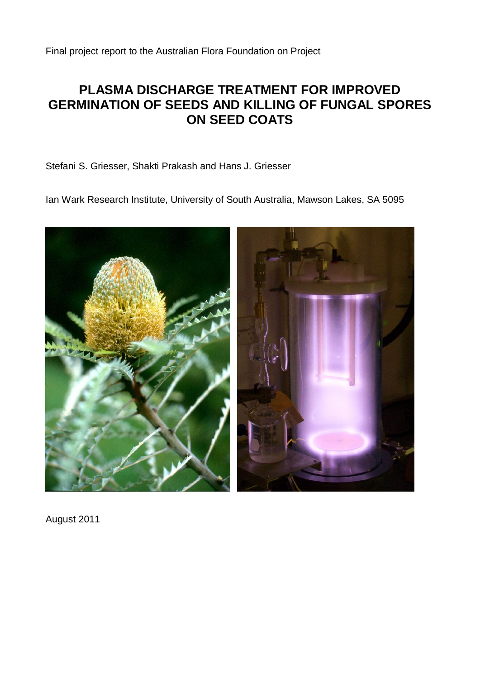Final project report to the Australian Flora Foundation on Project

# **PLASMA DISCHARGE TREATMENT FOR IMPROVED GERMINATION OF SEEDS AND KILLING OF FUNGAL SPORES ON SEED COATS**

Stefani S. Griesser, Shakti Prakash and Hans J. Griesser

Ian Wark Research Institute, University of South Australia, Mawson Lakes, SA 5095



August 2011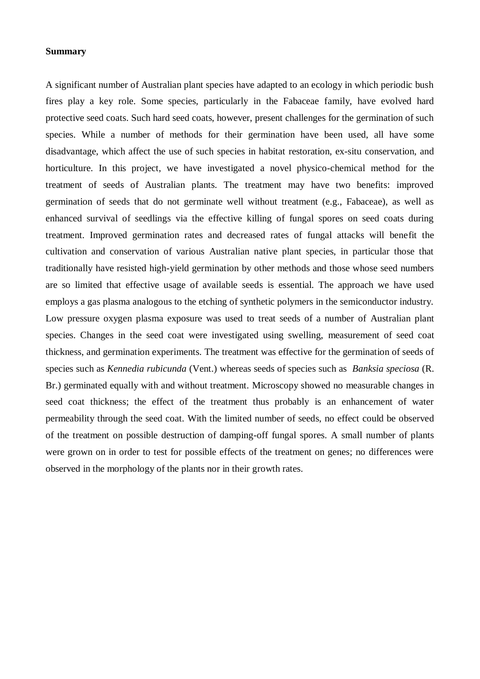#### **Summary**

A significant number of Australian plant species have adapted to an ecology in which periodic bush fires play a key role. Some species, particularly in the Fabaceae family, have evolved hard protective seed coats. Such hard seed coats, however, present challenges for the germination of such species. While a number of methods for their germination have been used, all have some disadvantage, which affect the use of such species in habitat restoration, ex-situ conservation, and horticulture. In this project, we have investigated a novel physico-chemical method for the treatment of seeds of Australian plants. The treatment may have two benefits: improved germination of seeds that do not germinate well without treatment (e.g., Fabaceae), as well as enhanced survival of seedlings via the effective killing of fungal spores on seed coats during treatment. Improved germination rates and decreased rates of fungal attacks will benefit the cultivation and conservation of various Australian native plant species, in particular those that traditionally have resisted high-yield germination by other methods and those whose seed numbers are so limited that effective usage of available seeds is essential. The approach we have used employs a gas plasma analogous to the etching of synthetic polymers in the semiconductor industry. Low pressure oxygen plasma exposure was used to treat seeds of a number of Australian plant species. Changes in the seed coat were investigated using swelling, measurement of seed coat thickness, and germination experiments. The treatment was effective for the germination of seeds of species such as *Kennedia rubicunda* (Vent.) whereas seeds of species such as *Banksia speciosa* (R. Br.) germinated equally with and without treatment. Microscopy showed no measurable changes in seed coat thickness; the effect of the treatment thus probably is an enhancement of water permeability through the seed coat. With the limited number of seeds, no effect could be observed of the treatment on possible destruction of damping-off fungal spores. A small number of plants were grown on in order to test for possible effects of the treatment on genes; no differences were observed in the morphology of the plants nor in their growth rates.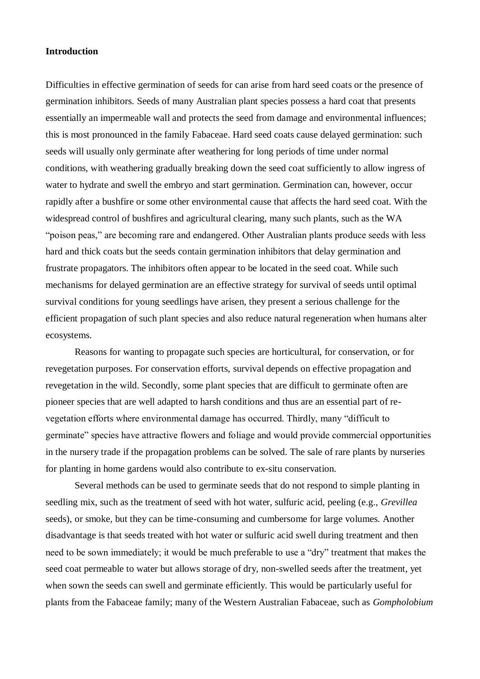## **Introduction**

Difficulties in effective germination of seeds for can arise from hard seed coats or the presence of germination inhibitors. Seeds of many Australian plant species possess a hard coat that presents essentially an impermeable wall and protects the seed from damage and environmental influences; this is most pronounced in the family Fabaceae. Hard seed coats cause delayed germination: such seeds will usually only germinate after weathering for long periods of time under normal conditions, with weathering gradually breaking down the seed coat sufficiently to allow ingress of water to hydrate and swell the embryo and start germination. Germination can, however, occur rapidly after a bushfire or some other environmental cause that affects the hard seed coat. With the widespread control of bushfires and agricultural clearing, many such plants, such as the WA "poison peas," are becoming rare and endangered. Other Australian plants produce seeds with less hard and thick coats but the seeds contain germination inhibitors that delay germination and frustrate propagators. The inhibitors often appear to be located in the seed coat. While such mechanisms for delayed germination are an effective strategy for survival of seeds until optimal survival conditions for young seedlings have arisen, they present a serious challenge for the efficient propagation of such plant species and also reduce natural regeneration when humans alter ecosystems.

Reasons for wanting to propagate such species are horticultural, for conservation, or for revegetation purposes. For conservation efforts, survival depends on effective propagation and revegetation in the wild. Secondly, some plant species that are difficult to germinate often are pioneer species that are well adapted to harsh conditions and thus are an essential part of revegetation efforts where environmental damage has occurred. Thirdly, many "difficult to germinate" species have attractive flowers and foliage and would provide commercial opportunities in the nursery trade if the propagation problems can be solved. The sale of rare plants by nurseries for planting in home gardens would also contribute to ex-situ conservation.

Several methods can be used to germinate seeds that do not respond to simple planting in seedling mix, such as the treatment of seed with hot water, sulfuric acid, peeling (e.g., *Grevillea* seeds), or smoke, but they can be time-consuming and cumbersome for large volumes. Another disadvantage is that seeds treated with hot water or sulfuric acid swell during treatment and then need to be sown immediately; it would be much preferable to use a "dry" treatment that makes the seed coat permeable to water but allows storage of dry, non-swelled seeds after the treatment, yet when sown the seeds can swell and germinate efficiently. This would be particularly useful for plants from the Fabaceae family; many of the Western Australian Fabaceae, such as *Gompholobium*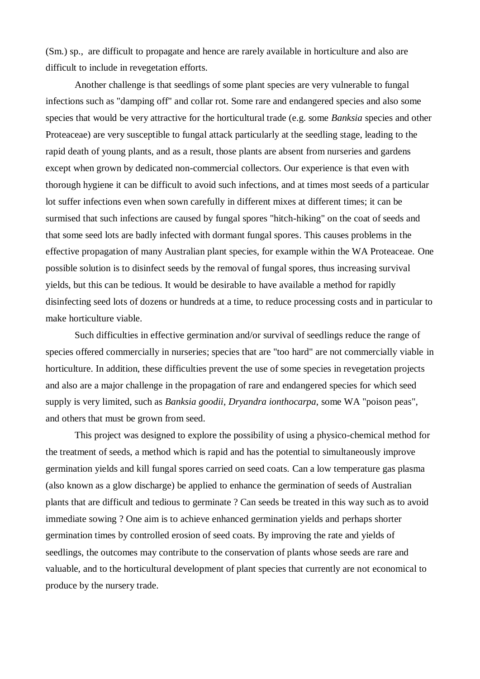(Sm.) sp., are difficult to propagate and hence are rarely available in horticulture and also are difficult to include in revegetation efforts.

Another challenge is that seedlings of some plant species are very vulnerable to fungal infections such as "damping off" and collar rot. Some rare and endangered species and also some species that would be very attractive for the horticultural trade (e.g. some *Banksia* species and other Proteaceae) are very susceptible to fungal attack particularly at the seedling stage, leading to the rapid death of young plants, and as a result, those plants are absent from nurseries and gardens except when grown by dedicated non-commercial collectors. Our experience is that even with thorough hygiene it can be difficult to avoid such infections, and at times most seeds of a particular lot suffer infections even when sown carefully in different mixes at different times; it can be surmised that such infections are caused by fungal spores "hitch-hiking" on the coat of seeds and that some seed lots are badly infected with dormant fungal spores. This causes problems in the effective propagation of many Australian plant species, for example within the WA Proteaceae. One possible solution is to disinfect seeds by the removal of fungal spores, thus increasing survival yields, but this can be tedious. It would be desirable to have available a method for rapidly disinfecting seed lots of dozens or hundreds at a time, to reduce processing costs and in particular to make horticulture viable.

Such difficulties in effective germination and/or survival of seedlings reduce the range of species offered commercially in nurseries; species that are "too hard" are not commercially viable in horticulture. In addition, these difficulties prevent the use of some species in revegetation projects and also are a major challenge in the propagation of rare and endangered species for which seed supply is very limited, such as *Banksia goodii*, *Dryandra ionthocarpa*, some WA "poison peas", and others that must be grown from seed.

This project was designed to explore the possibility of using a physico-chemical method for the treatment of seeds, a method which is rapid and has the potential to simultaneously improve germination yields and kill fungal spores carried on seed coats. Can a low temperature gas plasma (also known as a glow discharge) be applied to enhance the germination of seeds of Australian plants that are difficult and tedious to germinate ? Can seeds be treated in this way such as to avoid immediate sowing ? One aim is to achieve enhanced germination yields and perhaps shorter germination times by controlled erosion of seed coats. By improving the rate and yields of seedlings, the outcomes may contribute to the conservation of plants whose seeds are rare and valuable, and to the horticultural development of plant species that currently are not economical to produce by the nursery trade.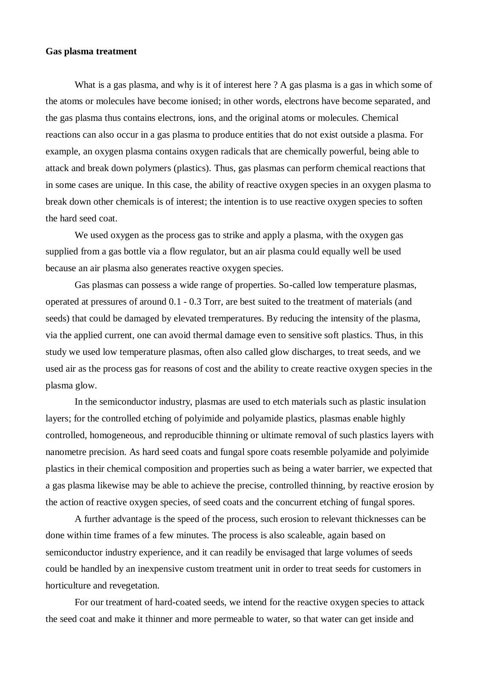## **Gas plasma treatment**

What is a gas plasma, and why is it of interest here ? A gas plasma is a gas in which some of the atoms or molecules have become ionised; in other words, electrons have become separated, and the gas plasma thus contains electrons, ions, and the original atoms or molecules. Chemical reactions can also occur in a gas plasma to produce entities that do not exist outside a plasma. For example, an oxygen plasma contains oxygen radicals that are chemically powerful, being able to attack and break down polymers (plastics). Thus, gas plasmas can perform chemical reactions that in some cases are unique. In this case, the ability of reactive oxygen species in an oxygen plasma to break down other chemicals is of interest; the intention is to use reactive oxygen species to soften the hard seed coat.

We used oxygen as the process gas to strike and apply a plasma, with the oxygen gas supplied from a gas bottle via a flow regulator, but an air plasma could equally well be used because an air plasma also generates reactive oxygen species.

Gas plasmas can possess a wide range of properties. So-called low temperature plasmas, operated at pressures of around 0.1 - 0.3 Torr, are best suited to the treatment of materials (and seeds) that could be damaged by elevated tremperatures. By reducing the intensity of the plasma, via the applied current, one can avoid thermal damage even to sensitive soft plastics. Thus, in this study we used low temperature plasmas, often also called glow discharges, to treat seeds, and we used air as the process gas for reasons of cost and the ability to create reactive oxygen species in the plasma glow.

In the semiconductor industry, plasmas are used to etch materials such as plastic insulation layers; for the controlled etching of polyimide and polyamide plastics, plasmas enable highly controlled, homogeneous, and reproducible thinning or ultimate removal of such plastics layers with nanometre precision. As hard seed coats and fungal spore coats resemble polyamide and polyimide plastics in their chemical composition and properties such as being a water barrier, we expected that a gas plasma likewise may be able to achieve the precise, controlled thinning, by reactive erosion by the action of reactive oxygen species, of seed coats and the concurrent etching of fungal spores.

A further advantage is the speed of the process, such erosion to relevant thicknesses can be done within time frames of a few minutes. The process is also scaleable, again based on semiconductor industry experience, and it can readily be envisaged that large volumes of seeds could be handled by an inexpensive custom treatment unit in order to treat seeds for customers in horticulture and revegetation.

For our treatment of hard-coated seeds, we intend for the reactive oxygen species to attack the seed coat and make it thinner and more permeable to water, so that water can get inside and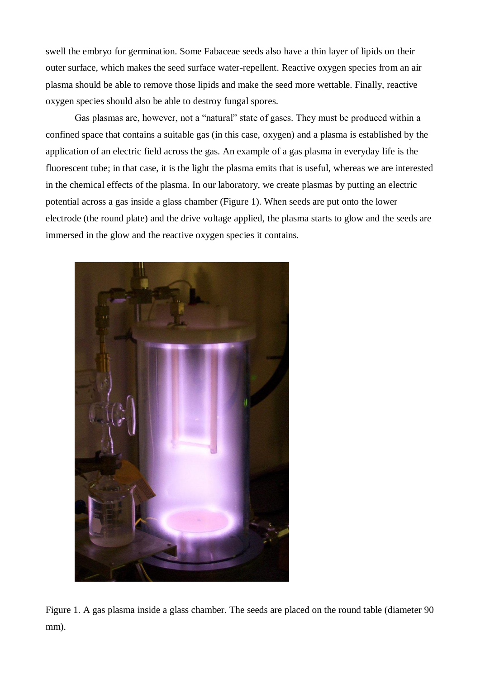swell the embryo for germination. Some Fabaceae seeds also have a thin layer of lipids on their outer surface, which makes the seed surface water-repellent. Reactive oxygen species from an air plasma should be able to remove those lipids and make the seed more wettable. Finally, reactive oxygen species should also be able to destroy fungal spores.

Gas plasmas are, however, not a "natural" state of gases. They must be produced within a confined space that contains a suitable gas (in this case, oxygen) and a plasma is established by the application of an electric field across the gas. An example of a gas plasma in everyday life is the fluorescent tube; in that case, it is the light the plasma emits that is useful, whereas we are interested in the chemical effects of the plasma. In our laboratory, we create plasmas by putting an electric potential across a gas inside a glass chamber (Figure 1). When seeds are put onto the lower electrode (the round plate) and the drive voltage applied, the plasma starts to glow and the seeds are immersed in the glow and the reactive oxygen species it contains.



Figure 1. A gas plasma inside a glass chamber. The seeds are placed on the round table (diameter 90 mm).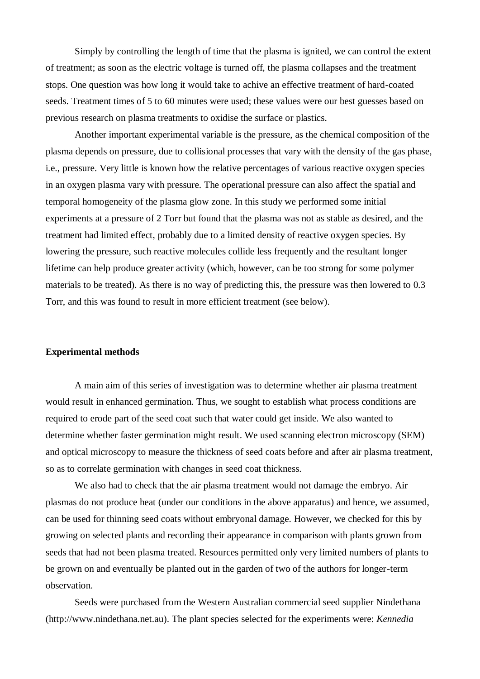Simply by controlling the length of time that the plasma is ignited, we can control the extent of treatment; as soon as the electric voltage is turned off, the plasma collapses and the treatment stops. One question was how long it would take to achive an effective treatment of hard-coated seeds. Treatment times of 5 to 60 minutes were used; these values were our best guesses based on previous research on plasma treatments to oxidise the surface or plastics.

Another important experimental variable is the pressure, as the chemical composition of the plasma depends on pressure, due to collisional processes that vary with the density of the gas phase, i.e., pressure. Very little is known how the relative percentages of various reactive oxygen species in an oxygen plasma vary with pressure. The operational pressure can also affect the spatial and temporal homogeneity of the plasma glow zone. In this study we performed some initial experiments at a pressure of 2 Torr but found that the plasma was not as stable as desired, and the treatment had limited effect, probably due to a limited density of reactive oxygen species. By lowering the pressure, such reactive molecules collide less frequently and the resultant longer lifetime can help produce greater activity (which, however, can be too strong for some polymer materials to be treated). As there is no way of predicting this, the pressure was then lowered to 0.3 Torr, and this was found to result in more efficient treatment (see below).

#### **Experimental methods**

A main aim of this series of investigation was to determine whether air plasma treatment would result in enhanced germination. Thus, we sought to establish what process conditions are required to erode part of the seed coat such that water could get inside. We also wanted to determine whether faster germination might result. We used scanning electron microscopy (SEM) and optical microscopy to measure the thickness of seed coats before and after air plasma treatment, so as to correlate germination with changes in seed coat thickness.

We also had to check that the air plasma treatment would not damage the embryo. Air plasmas do not produce heat (under our conditions in the above apparatus) and hence, we assumed, can be used for thinning seed coats without embryonal damage. However, we checked for this by growing on selected plants and recording their appearance in comparison with plants grown from seeds that had not been plasma treated. Resources permitted only very limited numbers of plants to be grown on and eventually be planted out in the garden of two of the authors for longer-term observation.

Seeds were purchased from the Western Australian commercial seed supplier Nindethana (http://www.nindethana.net.au). The plant species selected for the experiments were: *Kennedia*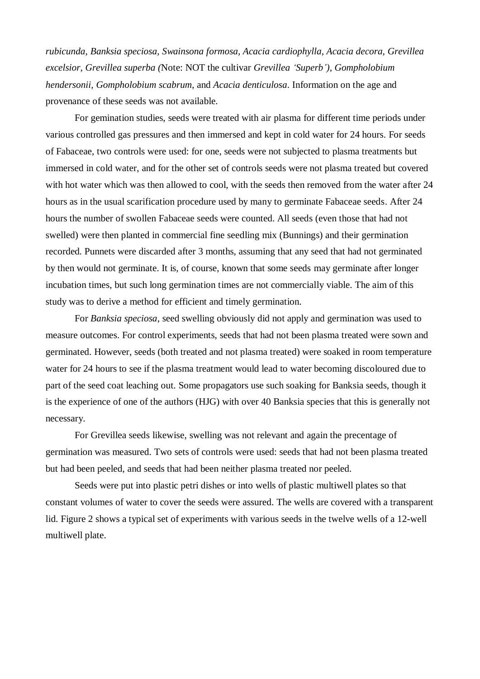*rubicunda, Banksia speciosa, Swainsona formosa, Acacia cardiophylla, Acacia decora, Grevillea excelsior, Grevillea superba (*Note: NOT the cultivar *Grevillea 'Superb'), Gompholobium hendersonii, Gompholobium scabrum*, and *Acacia denticulosa*. Information on the age and provenance of these seeds was not available.

For gemination studies, seeds were treated with air plasma for different time periods under various controlled gas pressures and then immersed and kept in cold water for 24 hours. For seeds of Fabaceae, two controls were used: for one, seeds were not subjected to plasma treatments but immersed in cold water, and for the other set of controls seeds were not plasma treated but covered with hot water which was then allowed to cool, with the seeds then removed from the water after 24 hours as in the usual scarification procedure used by many to germinate Fabaceae seeds. After 24 hours the number of swollen Fabaceae seeds were counted. All seeds (even those that had not swelled) were then planted in commercial fine seedling mix (Bunnings) and their germination recorded. Punnets were discarded after 3 months, assuming that any seed that had not germinated by then would not germinate. It is, of course, known that some seeds may germinate after longer incubation times, but such long germination times are not commercially viable. The aim of this study was to derive a method for efficient and timely germination.

For *Banksia speciosa*, seed swelling obviously did not apply and germination was used to measure outcomes. For control experiments, seeds that had not been plasma treated were sown and germinated. However, seeds (both treated and not plasma treated) were soaked in room temperature water for 24 hours to see if the plasma treatment would lead to water becoming discoloured due to part of the seed coat leaching out. Some propagators use such soaking for Banksia seeds, though it is the experience of one of the authors (HJG) with over 40 Banksia species that this is generally not necessary.

For Grevillea seeds likewise, swelling was not relevant and again the precentage of germination was measured. Two sets of controls were used: seeds that had not been plasma treated but had been peeled, and seeds that had been neither plasma treated nor peeled.

Seeds were put into plastic petri dishes or into wells of plastic multiwell plates so that constant volumes of water to cover the seeds were assured. The wells are covered with a transparent lid. Figure 2 shows a typical set of experiments with various seeds in the twelve wells of a 12-well multiwell plate.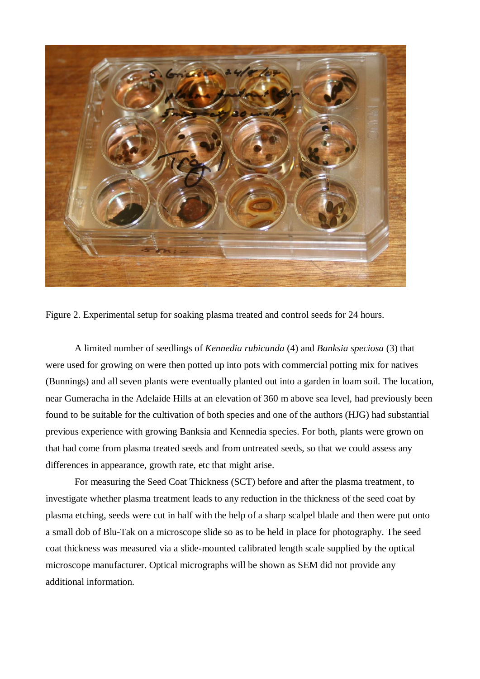

Figure 2. Experimental setup for soaking plasma treated and control seeds for 24 hours.

A limited number of seedlings of *Kennedia rubicunda* (4) and *Banksia speciosa* (3) that were used for growing on were then potted up into pots with commercial potting mix for natives (Bunnings) and all seven plants were eventually planted out into a garden in loam soil. The location, near Gumeracha in the Adelaide Hills at an elevation of 360 m above sea level, had previously been found to be suitable for the cultivation of both species and one of the authors (HJG) had substantial previous experience with growing Banksia and Kennedia species. For both, plants were grown on that had come from plasma treated seeds and from untreated seeds, so that we could assess any differences in appearance, growth rate, etc that might arise.

For measuring the Seed Coat Thickness (SCT) before and after the plasma treatment, to investigate whether plasma treatment leads to any reduction in the thickness of the seed coat by plasma etching, seeds were cut in half with the help of a sharp scalpel blade and then were put onto a small dob of Blu-Tak on a microscope slide so as to be held in place for photography. The seed coat thickness was measured via a slide-mounted calibrated length scale supplied by the optical microscope manufacturer. Optical micrographs will be shown as SEM did not provide any additional information.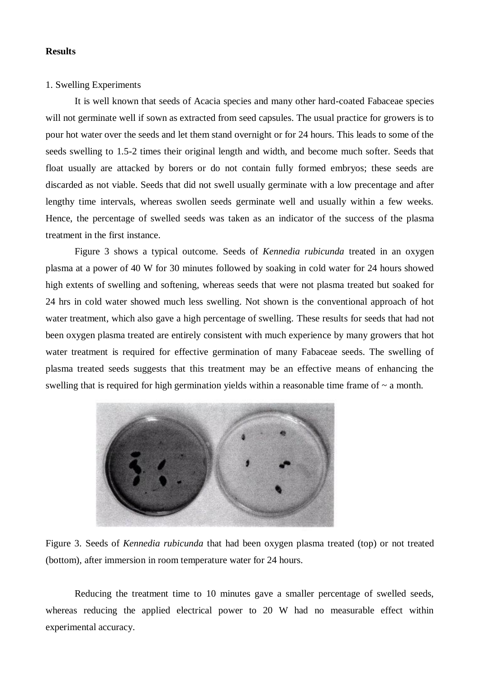## **Results**

## 1. Swelling Experiments

It is well known that seeds of Acacia species and many other hard-coated Fabaceae species will not germinate well if sown as extracted from seed capsules. The usual practice for growers is to pour hot water over the seeds and let them stand overnight or for 24 hours. This leads to some of the seeds swelling to 1.5-2 times their original length and width, and become much softer. Seeds that float usually are attacked by borers or do not contain fully formed embryos; these seeds are discarded as not viable. Seeds that did not swell usually germinate with a low precentage and after lengthy time intervals, whereas swollen seeds germinate well and usually within a few weeks. Hence, the percentage of swelled seeds was taken as an indicator of the success of the plasma treatment in the first instance.

Figure 3 shows a typical outcome. Seeds of *Kennedia rubicunda* treated in an oxygen plasma at a power of 40 W for 30 minutes followed by soaking in cold water for 24 hours showed high extents of swelling and softening, whereas seeds that were not plasma treated but soaked for 24 hrs in cold water showed much less swelling. Not shown is the conventional approach of hot water treatment, which also gave a high percentage of swelling. These results for seeds that had not been oxygen plasma treated are entirely consistent with much experience by many growers that hot water treatment is required for effective germination of many Fabaceae seeds. The swelling of plasma treated seeds suggests that this treatment may be an effective means of enhancing the swelling that is required for high germination yields within a reasonable time frame of  $\sim$  a month.



Figure 3. Seeds of *Kennedia rubicunda* that had been oxygen plasma treated (top) or not treated (bottom), after immersion in room temperature water for 24 hours.

Reducing the treatment time to 10 minutes gave a smaller percentage of swelled seeds, whereas reducing the applied electrical power to 20 W had no measurable effect within experimental accuracy.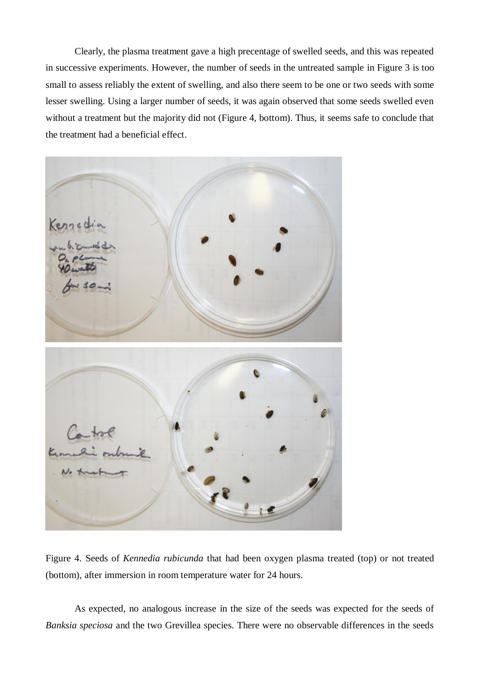Clearly, the plasma treatment gave a high precentage of swelled seeds, and this was repeated in successive experiments. However, the number of seeds in the untreated sample in Figure 3 is too small to assess reliably the extent of swelling, and also there seem to be one or two seeds with some lesser swelling. Using a larger number of seeds, it was again observed that some seeds swelled even without a treatment but the majority did not (Figure 4, bottom). Thus, it seems safe to conclude that the treatment had a beneficial effect.



Figure 4. Seeds of *Kennedia rubicunda* that had been oxygen plasma treated (top) or not treated (bottom), after immersion in room temperature water for 24 hours.

As expected, no analogous increase in the size of the seeds was expected for the seeds of *Banksia speciosa* and the two Grevillea species. There were no observable differences in the seeds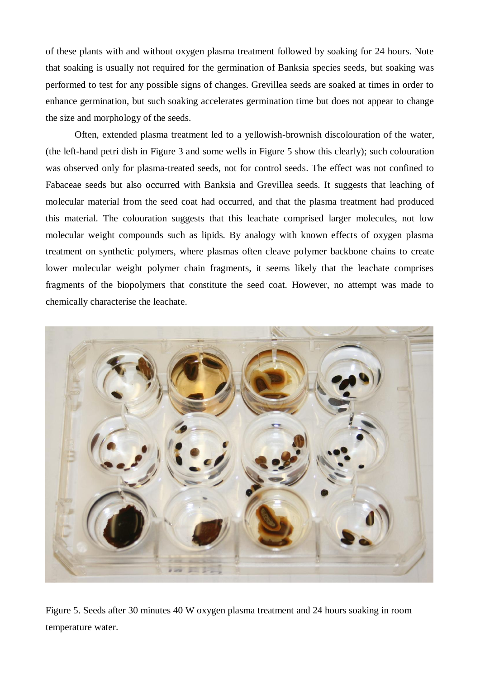of these plants with and without oxygen plasma treatment followed by soaking for 24 hours. Note that soaking is usually not required for the germination of Banksia species seeds, but soaking was performed to test for any possible signs of changes. Grevillea seeds are soaked at times in order to enhance germination, but such soaking accelerates germination time but does not appear to change the size and morphology of the seeds.

Often, extended plasma treatment led to a yellowish-brownish discolouration of the water, (the left-hand petri dish in Figure 3 and some wells in Figure 5 show this clearly); such colouration was observed only for plasma-treated seeds, not for control seeds. The effect was not confined to Fabaceae seeds but also occurred with Banksia and Grevillea seeds. It suggests that leaching of molecular material from the seed coat had occurred, and that the plasma treatment had produced this material. The colouration suggests that this leachate comprised larger molecules, not low molecular weight compounds such as lipids. By analogy with known effects of oxygen plasma treatment on synthetic polymers, where plasmas often cleave polymer backbone chains to create lower molecular weight polymer chain fragments, it seems likely that the leachate comprises fragments of the biopolymers that constitute the seed coat. However, no attempt was made to chemically characterise the leachate.



Figure 5. Seeds after 30 minutes 40 W oxygen plasma treatment and 24 hours soaking in room temperature water.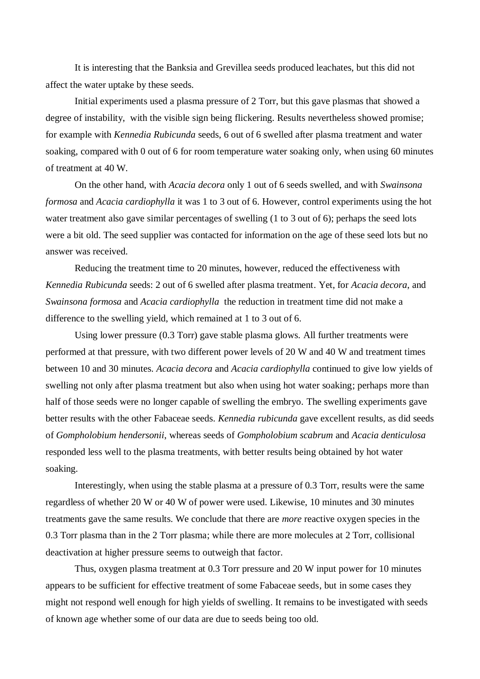It is interesting that the Banksia and Grevillea seeds produced leachates, but this did not affect the water uptake by these seeds.

Initial experiments used a plasma pressure of 2 Torr, but this gave plasmas that showed a degree of instability, with the visible sign being flickering. Results nevertheless showed promise; for example with *Kennedia Rubicunda* seeds, 6 out of 6 swelled after plasma treatment and water soaking, compared with 0 out of 6 for room temperature water soaking only, when using 60 minutes of treatment at 40 W.

On the other hand, with *Acacia decora* only 1 out of 6 seeds swelled, and with *Swainsona formosa* and *Acacia cardiophylla* it was 1 to 3 out of 6. However, control experiments using the hot water treatment also gave similar percentages of swelling (1 to 3 out of 6); perhaps the seed lots were a bit old. The seed supplier was contacted for information on the age of these seed lots but no answer was received.

Reducing the treatment time to 20 minutes, however, reduced the effectiveness with *Kennedia Rubicunda* seeds: 2 out of 6 swelled after plasma treatment. Yet, for *Acacia decora*, and *Swainsona formosa* and *Acacia cardiophylla* the reduction in treatment time did not make a difference to the swelling yield, which remained at 1 to 3 out of 6.

Using lower pressure (0.3 Torr) gave stable plasma glows. All further treatments were performed at that pressure, with two different power levels of 20 W and 40 W and treatment times between 10 and 30 minutes. *Acacia decora* and *Acacia cardiophylla* continued to give low yields of swelling not only after plasma treatment but also when using hot water soaking; perhaps more than half of those seeds were no longer capable of swelling the embryo. The swelling experiments gave better results with the other Fabaceae seeds. *Kennedia rubicunda* gave excellent results, as did seeds of *Gompholobium hendersonii*, whereas seeds of *Gompholobium scabrum* and *Acacia denticulosa* responded less well to the plasma treatments, with better results being obtained by hot water soaking.

Interestingly, when using the stable plasma at a pressure of 0.3 Torr, results were the same regardless of whether 20 W or 40 W of power were used. Likewise, 10 minutes and 30 minutes treatments gave the same results. We conclude that there are *more* reactive oxygen species in the 0.3 Torr plasma than in the 2 Torr plasma; while there are more molecules at 2 Torr, collisional deactivation at higher pressure seems to outweigh that factor.

Thus, oxygen plasma treatment at 0.3 Torr pressure and 20 W input power for 10 minutes appears to be sufficient for effective treatment of some Fabaceae seeds, but in some cases they might not respond well enough for high yields of swelling. It remains to be investigated with seeds of known age whether some of our data are due to seeds being too old.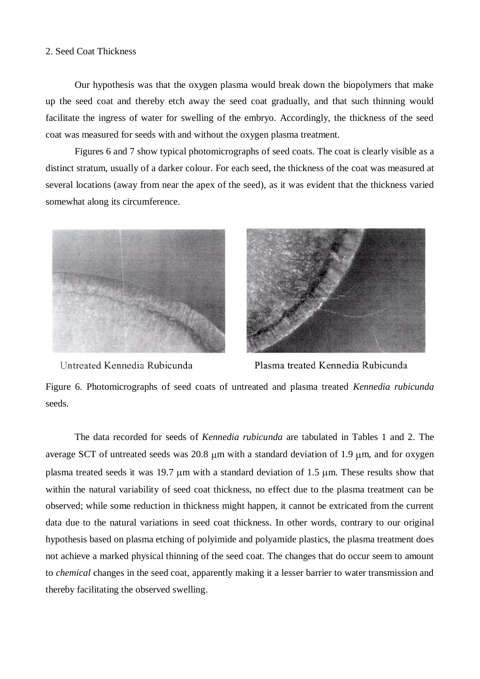## 2. Seed Coat Thickness

Our hypothesis was that the oxygen plasma would break down the biopolymers that make up the seed coat and thereby etch away the seed coat gradually, and that such thinning would facilitate the ingress of water for swelling of the embryo. Accordingly, the thickness of the seed coat was measured for seeds with and without the oxygen plasma treatment.

Figures 6 and 7 show typical photomicrographs of seed coats. The coat is clearly visible as a distinct stratum, usually of a darker colour. For each seed, the thickness of the coat was measured at several locations (away from near the apex of the seed), as it was evident that the thickness varied somewhat along its circumference.





Untreated Kennedia Rubicunda

Plasma treated Kennedia Rubicunda

Figure 6. Photomicrographs of seed coats of untreated and plasma treated *Kennedia rubicunda* seeds.

The data recorded for seeds of *Kennedia rubicunda* are tabulated in Tables 1 and 2. The average SCT of untreated seeds was  $20.8 \mu m$  with a standard deviation of 1.9  $\mu$ m, and for oxygen plasma treated seeds it was 19.7 um with a standard deviation of 1.5 um. These results show that within the natural variability of seed coat thickness, no effect due to the plasma treatment can be observed; while some reduction in thickness might happen, it cannot be extricated from the current data due to the natural variations in seed coat thickness. In other words, contrary to our original hypothesis based on plasma etching of polyimide and polyamide plastics, the plasma treatment does not achieve a marked physical thinning of the seed coat. The changes that do occur seem to amount to *chemical* changes in the seed coat, apparently making it a lesser barrier to water transmission and thereby facilitating the observed swelling.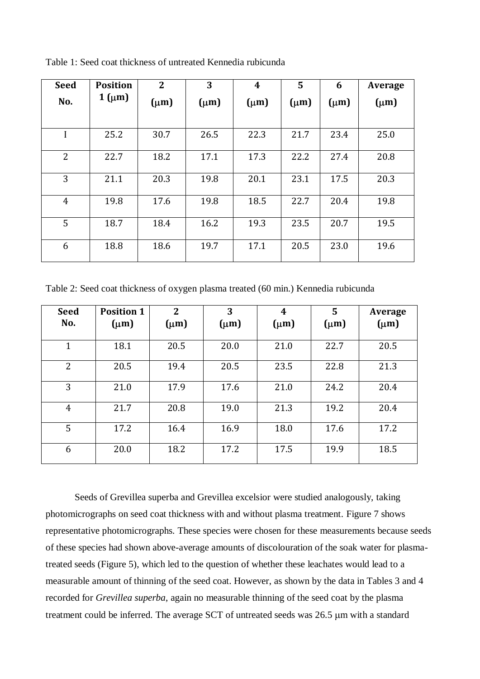| <b>Seed</b>    | <b>Position</b>  | $\overline{2}$ | 3         | $\boldsymbol{4}$ | 5         | 6         | Average   |
|----------------|------------------|----------------|-----------|------------------|-----------|-----------|-----------|
| No.            | $1 \text{ (µm)}$ | $(\mu m)$      | $(\mu m)$ | $(\mu m)$        | $(\mu m)$ | $(\mu m)$ | $(\mu m)$ |
| I              | 25.2             | 30.7           | 26.5      | 22.3             | 21.7      | 23.4      | 25.0      |
| $\overline{2}$ | 22.7             | 18.2           | 17.1      | 17.3             | 22.2      | 27.4      | 20.8      |
| 3              | 21.1             | 20.3           | 19.8      | 20.1             | 23.1      | 17.5      | 20.3      |
| $\overline{4}$ | 19.8             | 17.6           | 19.8      | 18.5             | 22.7      | 20.4      | 19.8      |
| 5              | 18.7             | 18.4           | 16.2      | 19.3             | 23.5      | 20.7      | 19.5      |
| 6              | 18.8             | 18.6           | 19.7      | 17.1             | 20.5      | 23.0      | 19.6      |

Table 1: Seed coat thickness of untreated Kennedia rubicunda

Table 2: Seed coat thickness of oxygen plasma treated (60 min.) Kennedia rubicunda

| <b>Seed</b>    | <b>Position 1</b> | $\overline{2}$ | 3         | $\boldsymbol{4}$ | 5         | Average   |
|----------------|-------------------|----------------|-----------|------------------|-----------|-----------|
| No.            | $(\mu m)$         | $(\mu m)$      | $(\mu m)$ | $(\mu m)$        | $(\mu m)$ | $(\mu m)$ |
| 1              | 18.1              | 20.5           | 20.0      | 21.0             | 22.7      | 20.5      |
| $\overline{2}$ | 20.5              | 19.4           | 20.5      | 23.5             | 22.8      | 21.3      |
| 3              | 21.0              | 17.9           | 17.6      | 21.0             | 24.2      | 20.4      |
| 4              | 21.7              | 20.8           | 19.0      | 21.3             | 19.2      | 20.4      |
| 5              | 17.2              | 16.4           | 16.9      | 18.0             | 17.6      | 17.2      |
| 6              | 20.0              | 18.2           | 17.2      | 17.5             | 19.9      | 18.5      |

Seeds of Grevillea superba and Grevillea excelsior were studied analogously, taking photomicrographs on seed coat thickness with and without plasma treatment. Figure 7 shows representative photomicrographs. These species were chosen for these measurements because seeds of these species had shown above-average amounts of discolouration of the soak water for plasmatreated seeds (Figure 5), which led to the question of whether these leachates would lead to a measurable amount of thinning of the seed coat. However, as shown by the data in Tables 3 and 4 recorded for *Grevillea superba*, again no measurable thinning of the seed coat by the plasma treatment could be inferred. The average SCT of untreated seeds was 26.5  $\mu$ m with a standard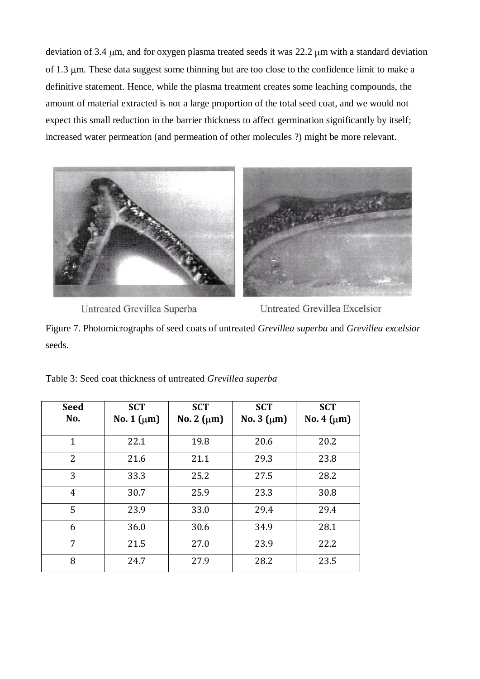deviation of 3.4 µm, and for oxygen plasma treated seeds it was 22.2 µm with a standard deviation of 1.3 µm. These data suggest some thinning but are too close to the confidence limit to make a definitive statement. Hence, while the plasma treatment creates some leaching compounds, the amount of material extracted is not a large proportion of the total seed coat, and we would not expect this small reduction in the barrier thickness to affect germination significantly by itself; increased water permeation (and permeation of other molecules ?) might be more relevant.



Untreated Grevillea Superba

Untreated Grevillea Excelsior

Figure 7. Photomicrographs of seed coats of untreated *Grevillea superba* and *Grevillea excelsior* seeds.

| <b>Seed</b><br>No. | <b>SCT</b><br>No. 1 $(\mu m)$ | <b>SCT</b><br>No. 2 $(\mu m)$ | <b>SCT</b><br>No. $3 \text{ } (\mu m)$ | <b>SCT</b><br>No. 4 $(\mu m)$ |
|--------------------|-------------------------------|-------------------------------|----------------------------------------|-------------------------------|
|                    |                               |                               |                                        |                               |
| $\mathbf{1}$       | 22.1                          | 19.8                          | 20.6                                   | 20.2                          |
| $\overline{2}$     | 21.6                          | 21.1                          | 29.3                                   | 23.8                          |
| 3                  | 33.3                          | 25.2                          | 27.5                                   | 28.2                          |
| 4                  | 30.7                          | 25.9                          | 23.3                                   | 30.8                          |
| 5                  | 23.9                          | 33.0                          | 29.4                                   | 29.4                          |
| 6                  | 36.0                          | 30.6                          | 34.9                                   | 28.1                          |
| 7                  | 21.5                          | 27.0                          | 23.9                                   | 22.2                          |
| 8                  | 24.7                          | 27.9                          | 28.2                                   | 23.5                          |

Table 3: Seed coat thickness of untreated *Grevillea superba*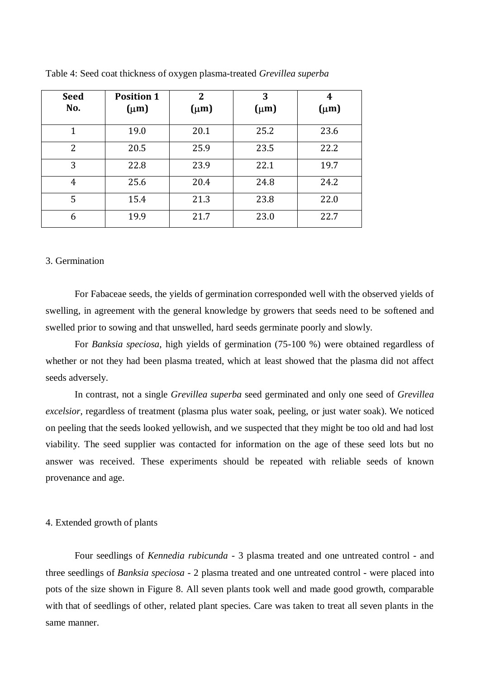| <b>Seed</b><br>No. | <b>Position 1</b><br>$(\mu m)$ | $\overline{2}$<br>$(\mu m)$ | 3<br>$(\mu m)$ | 4<br>$(\mu m)$ |
|--------------------|--------------------------------|-----------------------------|----------------|----------------|
| 1                  | 19.0                           | 20.1                        | 25.2           | 23.6           |
| 2                  | 20.5                           | 25.9                        | 23.5           | 22.2           |
| 3                  | 22.8                           | 23.9                        | 22.1           | 19.7           |
| 4                  | 25.6                           | 20.4                        | 24.8           | 24.2           |
| 5                  | 15.4                           | 21.3                        | 23.8           | 22.0           |
| 6                  | 19.9                           | 21.7                        | 23.0           | 22.7           |

Table 4: Seed coat thickness of oxygen plasma-treated *Grevillea superba*

## 3. Germination

For Fabaceae seeds, the yields of germination corresponded well with the observed yields of swelling, in agreement with the general knowledge by growers that seeds need to be softened and swelled prior to sowing and that unswelled, hard seeds germinate poorly and slowly.

For *Banksia speciosa*, high yields of germination (75-100 %) were obtained regardless of whether or not they had been plasma treated, which at least showed that the plasma did not affect seeds adversely.

In contrast, not a single *Grevillea superba* seed germinated and only one seed of *Grevillea excelsior*, regardless of treatment (plasma plus water soak, peeling, or just water soak). We noticed on peeling that the seeds looked yellowish, and we suspected that they might be too old and had lost viability. The seed supplier was contacted for information on the age of these seed lots but no answer was received. These experiments should be repeated with reliable seeds of known provenance and age.

#### 4. Extended growth of plants

Four seedlings of *Kennedia rubicunda* - 3 plasma treated and one untreated control - and three seedlings of *Banksia speciosa* - 2 plasma treated and one untreated control - were placed into pots of the size shown in Figure 8. All seven plants took well and made good growth, comparable with that of seedlings of other, related plant species. Care was taken to treat all seven plants in the same manner.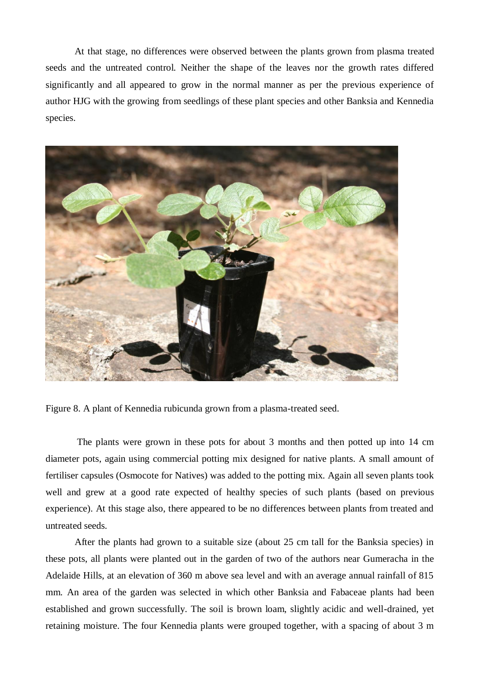At that stage, no differences were observed between the plants grown from plasma treated seeds and the untreated control. Neither the shape of the leaves nor the growth rates differed significantly and all appeared to grow in the normal manner as per the previous experience of author HJG with the growing from seedlings of these plant species and other Banksia and Kennedia species.



Figure 8. A plant of Kennedia rubicunda grown from a plasma-treated seed.

The plants were grown in these pots for about 3 months and then potted up into 14 cm diameter pots, again using commercial potting mix designed for native plants. A small amount of fertiliser capsules (Osmocote for Natives) was added to the potting mix. Again all seven plants took well and grew at a good rate expected of healthy species of such plants (based on previous experience). At this stage also, there appeared to be no differences between plants from treated and untreated seeds.

After the plants had grown to a suitable size (about 25 cm tall for the Banksia species) in these pots, all plants were planted out in the garden of two of the authors near Gumeracha in the Adelaide Hills, at an elevation of 360 m above sea level and with an average annual rainfall of 815 mm. An area of the garden was selected in which other Banksia and Fabaceae plants had been established and grown successfully. The soil is brown loam, slightly acidic and well-drained, yet retaining moisture. The four Kennedia plants were grouped together, with a spacing of about 3 m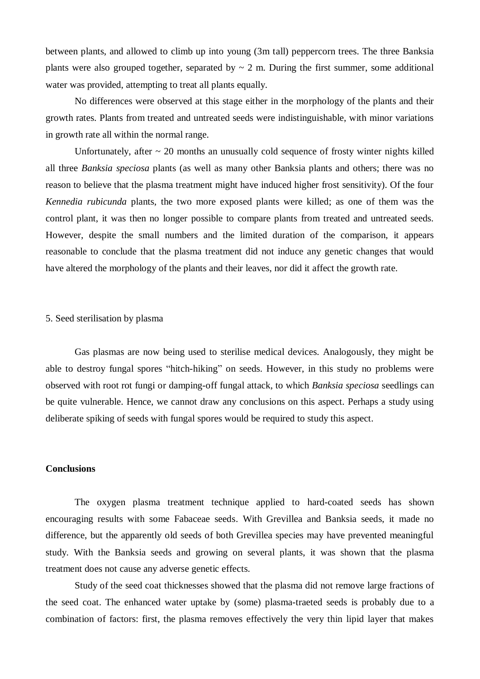between plants, and allowed to climb up into young (3m tall) peppercorn trees. The three Banksia plants were also grouped together, separated by  $\sim 2$  m. During the first summer, some additional water was provided, attempting to treat all plants equally.

No differences were observed at this stage either in the morphology of the plants and their growth rates. Plants from treated and untreated seeds were indistinguishable, with minor variations in growth rate all within the normal range.

Unfortunately, after  $\sim$  20 months an unusually cold sequence of frosty winter nights killed all three *Banksia speciosa* plants (as well as many other Banksia plants and others; there was no reason to believe that the plasma treatment might have induced higher frost sensitivity). Of the four *Kennedia rubicunda* plants, the two more exposed plants were killed; as one of them was the control plant, it was then no longer possible to compare plants from treated and untreated seeds. However, despite the small numbers and the limited duration of the comparison, it appears reasonable to conclude that the plasma treatment did not induce any genetic changes that would have altered the morphology of the plants and their leaves, nor did it affect the growth rate.

#### 5. Seed sterilisation by plasma

Gas plasmas are now being used to sterilise medical devices. Analogously, they might be able to destroy fungal spores "hitch-hiking" on seeds. However, in this study no problems were observed with root rot fungi or damping-off fungal attack, to which *Banksia speciosa* seedlings can be quite vulnerable. Hence, we cannot draw any conclusions on this aspect. Perhaps a study using deliberate spiking of seeds with fungal spores would be required to study this aspect.

#### **Conclusions**

The oxygen plasma treatment technique applied to hard-coated seeds has shown encouraging results with some Fabaceae seeds. With Grevillea and Banksia seeds, it made no difference, but the apparently old seeds of both Grevillea species may have prevented meaningful study. With the Banksia seeds and growing on several plants, it was shown that the plasma treatment does not cause any adverse genetic effects.

Study of the seed coat thicknesses showed that the plasma did not remove large fractions of the seed coat. The enhanced water uptake by (some) plasma-traeted seeds is probably due to a combination of factors: first, the plasma removes effectively the very thin lipid layer that makes